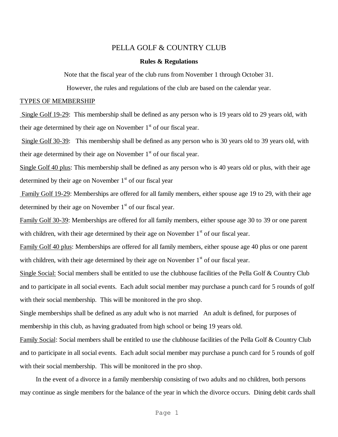# PELLA GOLF & COUNTRY CLUB

## **Rules & Regulations**

Note that the fiscal year of the club runs from November 1 through October 31.

However, the rules and regulations of the club are based on the calendar year.

## TYPES OF MEMBERSHIP

Single Golf 19-29: This membership shall be defined as any person who is 19 years old to 29 years old, with their age determined by their age on November  $1<sup>st</sup>$  of our fiscal year.

Single Golf 30-39: This membership shall be defined as any person who is 30 years old to 39 years old, with their age determined by their age on November  $1<sup>st</sup>$  of our fiscal year.

Single Golf 40 plus: This membership shall be defined as any person who is 40 years old or plus, with their age determined by their age on November  $1<sup>st</sup>$  of our fiscal year

Family Golf 19-29: Memberships are offered for all family members, either spouse age 19 to 29, with their age determined by their age on November  $1<sup>st</sup>$  of our fiscal year.

Family Golf 30-39: Memberships are offered for all family members, either spouse age 30 to 39 or one parent with children, with their age determined by their age on November  $1<sup>st</sup>$  of our fiscal year.

Family Golf 40 plus: Memberships are offered for all family members, either spouse age 40 plus or one parent with children, with their age determined by their age on November  $1<sup>st</sup>$  of our fiscal year.

Single Social: Social members shall be entitled to use the clubhouse facilities of the Pella Golf & Country Club and to participate in all social events. Each adult social member may purchase a punch card for 5 rounds of golf with their social membership. This will be monitored in the pro shop.

Single memberships shall be defined as any adult who is not married An adult is defined, for purposes of membership in this club, as having graduated from high school or being 19 years old.

Family Social: Social members shall be entitled to use the clubhouse facilities of the Pella Golf & Country Club and to participate in all social events. Each adult social member may purchase a punch card for 5 rounds of golf with their social membership. This will be monitored in the pro shop.

In the event of a divorce in a family membership consisting of two adults and no children, both persons may continue as single members for the balance of the year in which the divorce occurs. Dining debit cards shall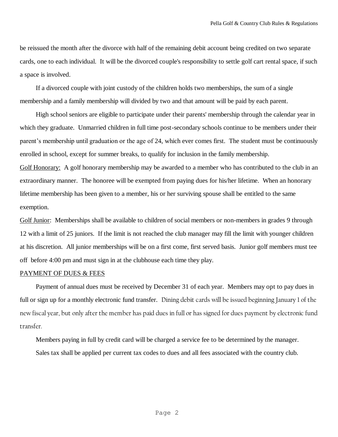be reissued the month after the divorce with half of the remaining debit account being credited on two separate cards, one to each individual. It will be the divorced couple's responsibility to settle golf cart rental space, if such a space is involved.

If a divorced couple with joint custody of the children holds two memberships, the sum of a single membership and a family membership will divided by two and that amount will be paid by each parent.

High school seniors are eligible to participate under their parents' membership through the calendar year in which they graduate. Unmarried children in full time post-secondary schools continue to be members under their parent's membership until graduation or the age of 24, which ever comes first. The student must be continuously enrolled in school, except for summer breaks, to qualify for inclusion in the family membership.

Golf Honorary: A golf honorary membership may be awarded to a member who has contributed to the club in an extraordinary manner. The honoree will be exempted from paying dues for his/her lifetime. When an honorary lifetime membership has been given to a member, his or her surviving spouse shall be entitled to the same exemption.

Golf Junior: Memberships shall be available to children of social members or non-members in grades 9 through 12 with a limit of 25 juniors. If the limit is not reached the club manager may fill the limit with younger children at his discretion. All junior memberships will be on a first come, first served basis. Junior golf members must tee off before 4:00 pm and must sign in at the clubhouse each time they play.

### PAYMENT OF DUES & FEES

Payment of annual dues must be received by December 31 of each year. Members may opt to pay dues in full or sign up for a monthly electronic fund transfer. Dining debit cards will be issued beginning January 1 of the new fiscal year, but only after the member has paid dues in full or has signed for dues payment by electronic fund transfer.

Members paying in full by credit card will be charged a service fee to be determined by the manager. Sales tax shall be applied per current tax codes to dues and all fees associated with the country club.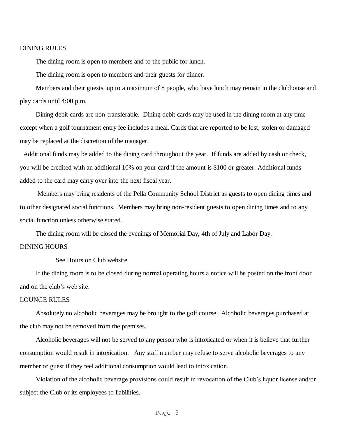#### DINING RULES

The dining room is open to members and to the public for lunch.

The dining room is open to members and their guests for dinner.

Members and their guests, up to a maximum of 8 people, who have lunch may remain in the clubhouse and play cards until 4:00 p.m.

Dining debit cards are non-transferable. Dining debit cards may be used in the dining room at any time except when a golf tournament entry fee includes a meal. Cards that are reported to be lost, stolen or damaged may be replaced at the discretion of the manager.

 Additional funds may be added to the dining card throughout the year. If funds are added by cash or check, you will be credited with an additional 10% on your card if the amount is \$100 or greater. Additional funds added to the card may carry over into the next fiscal year.

Members may bring residents of the Pella Community School District as guests to open dining times and to other designated social functions. Members may bring non-resident guests to open dining times and to any social function unless otherwise stated.

The dining room will be closed the evenings of Memorial Day, 4th of July and Labor Day.

# DINING HOURS

See Hours on Club website.

If the dining room is to be closed during normal operating hours a notice will be posted on the front door and on the club's web site.

### LOUNGE RULES

Absolutely no alcoholic beverages may be brought to the golf course. Alcoholic beverages purchased at the club may not be removed from the premises.

Alcoholic beverages will not be served to any person who is intoxicated or when it is believe that further consumption would result in intoxication. Any staff member may refuse to serve alcoholic beverages to any member or guest if they feel additional consumption would lead to intoxication.

Violation of the alcoholic beverage provisions could result in revocation of the Club's liquor license and/or subject the Club or its employees to liabilities.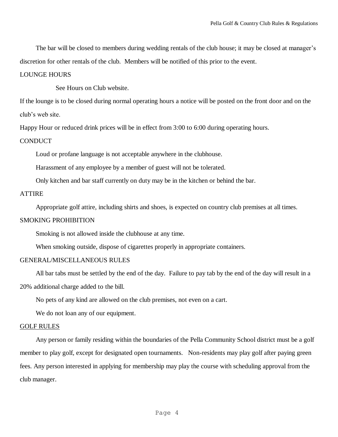The bar will be closed to members during wedding rentals of the club house; it may be closed at manager's discretion for other rentals of the club. Members will be notified of this prior to the event.

### LOUNGE HOURS

See Hours on Club website.

If the lounge is to be closed during normal operating hours a notice will be posted on the front door and on the club's web site.

Happy Hour or reduced drink prices will be in effect from 3:00 to 6:00 during operating hours.

#### **CONDUCT**

Loud or profane language is not acceptable anywhere in the clubhouse.

Harassment of any employee by a member of guest will not be tolerated.

Only kitchen and bar staff currently on duty may be in the kitchen or behind the bar.

## ATTIRE

Appropriate golf attire, including shirts and shoes, is expected on country club premises at all times.

#### SMOKING PROHIBITION

Smoking is not allowed inside the clubhouse at any time.

When smoking outside, dispose of cigarettes properly in appropriate containers.

### GENERAL/MISCELLANEOUS RULES

All bar tabs must be settled by the end of the day. Failure to pay tab by the end of the day will result in a 20% additional charge added to the bill.

No pets of any kind are allowed on the club premises, not even on a cart.

We do not loan any of our equipment.

#### GOLF RULES

Any person or family residing within the boundaries of the Pella Community School district must be a golf member to play golf, except for designated open tournaments. Non-residents may play golf after paying green fees. Any person interested in applying for membership may play the course with scheduling approval from the club manager.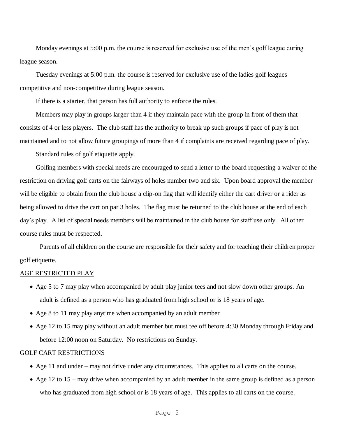Monday evenings at 5:00 p.m. the course is reserved for exclusive use of the men's golf league during league season.

Tuesday evenings at 5:00 p.m. the course is reserved for exclusive use of the ladies golf leagues competitive and non-competitive during league season.

If there is a starter, that person has full authority to enforce the rules.

Members may play in groups larger than 4 if they maintain pace with the group in front of them that consists of 4 or less players. The club staff has the authority to break up such groups if pace of play is not maintained and to not allow future groupings of more than 4 if complaints are received regarding pace of play.

Standard rules of golf etiquette apply.

Golfing members with special needs are encouraged to send a letter to the board requesting a waiver of the restriction on driving golf carts on the fairways of holes number two and six. Upon board approval the member will be eligible to obtain from the club house a clip-on flag that will identify either the cart driver or a rider as being allowed to drive the cart on par 3 holes. The flag must be returned to the club house at the end of each day's play. A list of special needs members will be maintained in the club house for staff use only. All other course rules must be respected.

Parents of all children on the course are responsible for their safety and for teaching their children proper golf etiquette.

### AGE RESTRICTED PLAY

- Age 5 to 7 may play when accompanied by adult play junior tees and not slow down other groups. An adult is defined as a person who has graduated from high school or is 18 years of age.
- Age 8 to 11 may play anytime when accompanied by an adult member
- Age 12 to 15 may play without an adult member but must tee off before 4:30 Monday through Friday and before 12:00 noon on Saturday. No restrictions on Sunday.

## GOLF CART RESTRICTIONS

- Age 11 and under may not drive under any circumstances. This applies to all carts on the course.
- Age 12 to 15 may drive when accompanied by an adult member in the same group is defined as a person who has graduated from high school or is 18 years of age. This applies to all carts on the course.